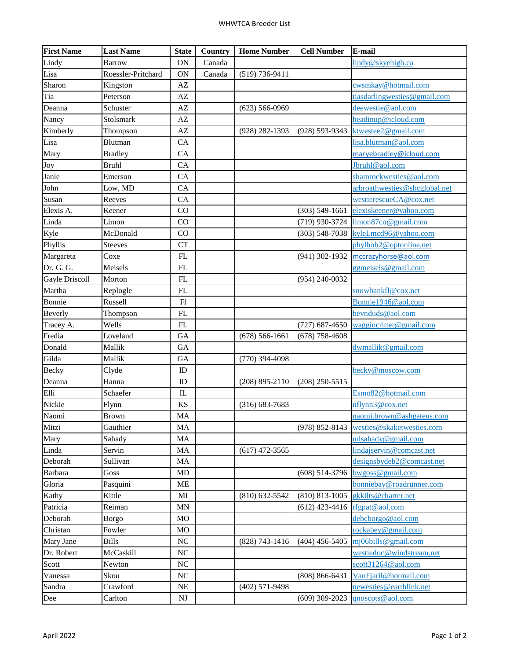| <b>First Name</b> | <b>Last Name</b>   | <b>State</b>           | Country | <b>Home Number</b> | <b>Cell Number</b> | E-mail                        |
|-------------------|--------------------|------------------------|---------|--------------------|--------------------|-------------------------------|
| Lindy             | <b>Barrow</b>      | ON                     | Canada  |                    |                    | lindy@skyehigh.ca             |
| Lisa              | Roessler-Pritchard | <b>ON</b>              | Canada  | $(519) 736 - 9411$ |                    |                               |
| Sharon            | Kingston           | AZ                     |         |                    |                    | cwsmkay@hotmail.com           |
| Tia               | Peterson           | AZ                     |         |                    |                    | tiasdarlingwesties@gmail.com  |
| Deanna            | Schuster           | $\mathbf{A}\mathbf{Z}$ |         | $(623) 566 - 0969$ |                    | deewestie@aol.com             |
| Nancy             | Stolsmark          | AZ                     |         |                    |                    | headinup@icloud.com           |
| Kimberly          | Thompson           | AZ                     |         | $(928)$ 282-1393   | $(928) 593 - 9343$ | ktwestee2@gmail.com           |
| Lisa              | Blutman            | CA                     |         |                    |                    | lisa.blutman@aol.com          |
| Mary              | <b>Bradley</b>     | CA                     |         |                    |                    | maryebradley@icloud.com       |
| <b>Joy</b>        | <b>Bruhl</b>       | CA                     |         |                    |                    | Jbruhl@aol.com                |
| Janie             | Emerson            | CA                     |         |                    |                    | shamrockwesties@aol.com       |
| John              | Low, MD            | CA                     |         |                    |                    | arbroathwesties@sbcglobal.net |
| Susan             | Reeves             | CA                     |         |                    |                    | westierescueCA@cox.net        |
| Elexis A.         | Keener             | CO                     |         |                    | $(303) 549 - 1661$ | elexiskeener@yahoo.com        |
| Linda             | Limon              | CO                     |         |                    | (719) 930-3724     | limon87co@gmail.com           |
| Kyle              | McDonald           | CO                     |         |                    | $(303) 548 - 7038$ | kyleLmcd96@yahoo.com          |
| Phyllis           | <b>Steeves</b>     | <b>CT</b>              |         |                    |                    | phylbob2@optonline.net        |
| Margareta         | Coxe               | FL                     |         |                    | $(941)$ 302-1932   | mccrazyhorse@aol.com          |
| Dr. G. G.         | Meisels            | FL                     |         |                    |                    | ggmeisels@gmail.com           |
| Gayle Driscoll    | Morton             | FL                     |         |                    | $(954) 240 - 0032$ |                               |
| Martha            | Replogle           | FL                     |         |                    |                    | snowbankfl@cox.net            |
| Bonnie            | Russell            | F1                     |         |                    |                    | Bonnie1946@aol.com            |
| Beverly           | Thompson           | FL                     |         |                    |                    | bevnduds@aol.com              |
| Tracey A.         | Wells              | FL                     |         |                    | $(727)$ 687-4650   | waggincritter@gmail.com       |
| Fredia            | Loveland           | <b>GA</b>              |         | $(678)$ 566-1661   | $(678)$ 758-4608   |                               |
| Donald            | Mallik             | GA                     |         |                    |                    | dwmallik@gmail.com            |
| Gilda             | Mallik             | GA                     |         | $(770)$ 394-4098   |                    |                               |
| Becky             | Clyde              | ID                     |         |                    |                    | becky@moscow.com              |
| Deanna            | Hanna              | ID                     |         | $(208) 895 - 2110$ | $(208)$ 250-5515   |                               |
| Elli              | Schaefer           | $\mathbf{I}$           |         |                    |                    | Esmo82@hotmail.com            |
| Nickie            | Flynn              | KS                     |         | $(316) 683 - 7683$ |                    | nflynn3@cox.net               |
| Naomi             | <b>Brown</b>       | MA                     |         |                    |                    | naomi.brown@ashgateus.com     |
| Mitzi             | Gauthier           | MA                     |         |                    | $(978) 852 - 8143$ | westies@skaketwesties.com     |
| Mary              | Sahady             | MA                     |         |                    |                    | mlsahady@gmail.com            |
| Linda             | Servin             | MA                     |         | $(617)$ 472-3565   |                    | lindajservin@comcast.net      |
| Deborah           | Sullivan           | MA                     |         |                    |                    | designsbydeb2@comcast.net     |
| <b>Barbara</b>    | Goss               | MD                     |         |                    | $(608) 514-3796$   | $bw$ goss@gmail.com           |
| Gloria            | Pasquini           | ME                     |         |                    |                    | bonniebay@roadrunner.com      |
| Kathy             | Kittle             | MI                     |         | $(810)$ 632-5542   | $(810) 813 - 1005$ | gkkilts@charter.net           |
| Patricia          | Reiman             | <b>MN</b>              |         |                    | $(612)$ 423-4416   | rfgpat@aol.com                |
| Deborah           | <b>Borgo</b>       | MO                     |         |                    |                    | debcborgo@aol.com             |
| Christan          | Fowler             | MO                     |         |                    |                    | rockabey@gmail.com            |
| Mary Jane         | <b>Bills</b>       | <b>NC</b>              |         | $(828)$ 743-1416   | $(404)$ 456-5405   | $m$ i06bills@gmail.com        |
| Dr. Robert        | McCaskill          | $\rm NC$               |         |                    |                    | westiedoc@windstream.net      |
| Scott             | Newton             | $\rm NC$               |         |                    |                    | scott31264@aol.com            |
| Vanessa           | Skou               | $_{\mathrm{NC}}$       |         |                    | $(808) 866 - 6431$ | VanFjaril@hotmail.com         |
| Sandra            | Crawford           | $\rm NE$               |         | $(402)$ 571-9498   |                    | newesties@earthlink.net       |
| Dee               | Carlton            | NJ                     |         |                    | $(609)$ 309-2023   | qnoscots@aol.com              |